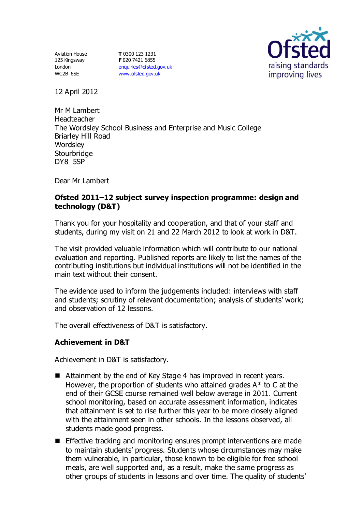Aviation House 125 Kingsway London WC2B 6SE

**T** 0300 123 1231 **F** 020 7421 6855 [enquiries@ofsted.gov.uk](mailto:enquiries@ofsted.gov.uk) [www.ofsted.gov.uk](http://www.ofsted.gov.uk/)



12 April 2012

Mr M Lambert **Headteacher** The Wordsley School Business and Enterprise and Music College Briarley Hill Road **Wordsley Stourbridge** DY8 5SP

Dear Mr Lambert

# **Ofsted 2011–12 subject survey inspection programme: design and technology (D&T)**

Thank you for your hospitality and cooperation, and that of your staff and students, during my visit on 21 and 22 March 2012 to look at work in D&T.

The visit provided valuable information which will contribute to our national evaluation and reporting. Published reports are likely to list the names of the contributing institutions but individual institutions will not be identified in the main text without their consent.

The evidence used to inform the judgements included: interviews with staff and students; scrutiny of relevant documentation; analysis of students' work; and observation of 12 lessons.

The overall effectiveness of D&T is satisfactory.

## **Achievement in D&T**

Achievement in D&T is satisfactory.

- Attainment by the end of Key Stage 4 has improved in recent years. However, the proportion of students who attained grades A\* to C at the end of their GCSE course remained well below average in 2011. Current school monitoring, based on accurate assessment information, indicates that attainment is set to rise further this year to be more closely aligned with the attainment seen in other schools. In the lessons observed, all students made good progress.
- **Effective tracking and monitoring ensures prompt interventions are made** to maintain students' progress. Students whose circumstances may make them vulnerable, in particular, those known to be eligible for free school meals, are well supported and, as a result, make the same progress as other groups of students in lessons and over time. The quality of students'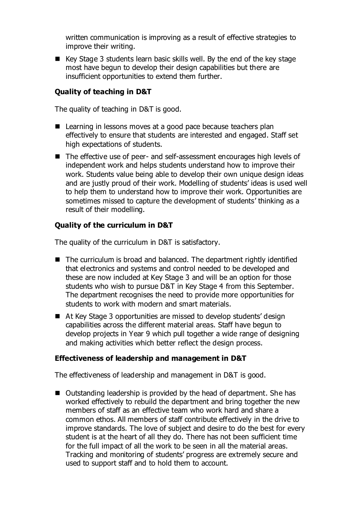written communication is improving as a result of effective strategies to improve their writing.

 $\blacksquare$  Key Stage 3 students learn basic skills well. By the end of the key stage most have begun to develop their design capabilities but there are insufficient opportunities to extend them further.

# **Quality of teaching in D&T**

The quality of teaching in D&T is good.

- Learning in lessons moves at a good pace because teachers plan effectively to ensure that students are interested and engaged. Staff set high expectations of students.
- The effective use of peer- and self-assessment encourages high levels of independent work and helps students understand how to improve their work. Students value being able to develop their own unique design ideas and are justly proud of their work. Modelling of students' ideas is used well to help them to understand how to improve their work. Opportunities are sometimes missed to capture the development of students' thinking as a result of their modelling.

## **Quality of the curriculum in D&T**

The quality of the curriculum in D&T is satisfactory.

- The curriculum is broad and balanced. The department rightly identified that electronics and systems and control needed to be developed and these are now included at Key Stage 3 and will be an option for those students who wish to pursue D&T in Key Stage 4 from this September. The department recognises the need to provide more opportunities for students to work with modern and smart materials.
- At Key Stage 3 opportunities are missed to develop students' design capabilities across the different material areas. Staff have begun to develop projects in Year 9 which pull together a wide range of designing and making activities which better reflect the design process.

## **Effectiveness of leadership and management in D&T**

The effectiveness of leadership and management in D&T is good.

■ Outstanding leadership is provided by the head of department. She has worked effectively to rebuild the department and bring together the new members of staff as an effective team who work hard and share a common ethos. All members of staff contribute effectively in the drive to improve standards. The love of subject and desire to do the best for every student is at the heart of all they do. There has not been sufficient time for the full impact of all the work to be seen in all the material areas. Tracking and monitoring of students' progress are extremely secure and used to support staff and to hold them to account.